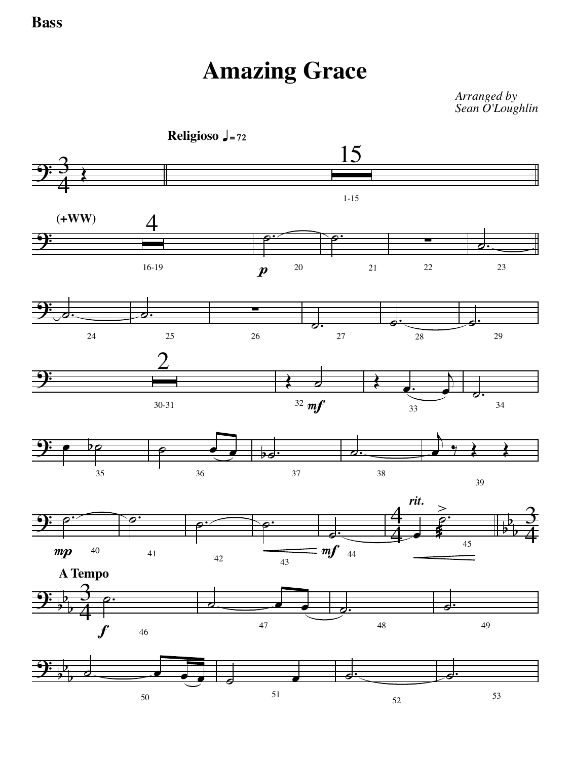## **Amazing Grace**

*Arranged by Sean O'Loughlin*